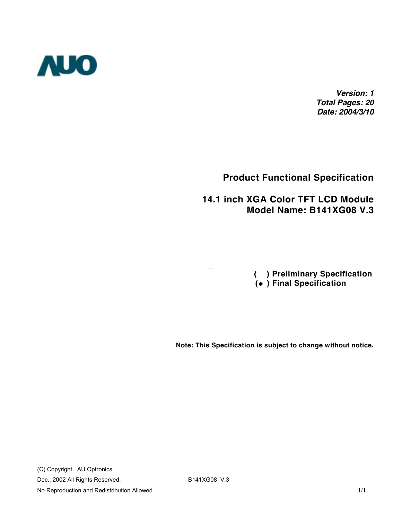

*Version: 1 Total Pages: 20 Date: 2004/3/10*

### **Product Functional Specification**

#### **14.1 inch XGA Color TFT LCD Module Model Name: B141XG08 V.3**

 **( ) Preliminary Specification ( ) Final Specification**

**Note: This Specification is subject to change without notice.**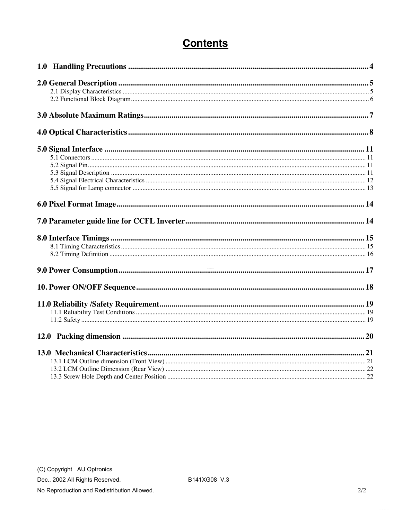# **Contents**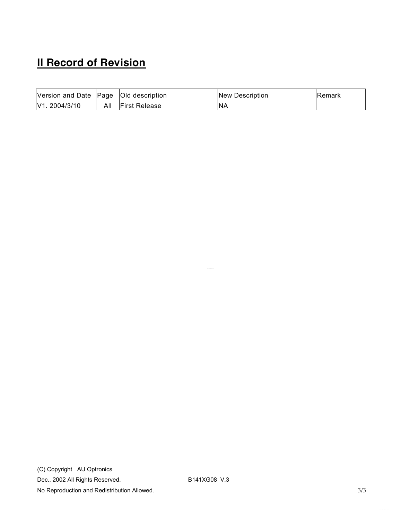# **II Record of Revision**

| Version and Date   Page   Old description |     |                      | <b>New Description</b> | Remark |
|-------------------------------------------|-----|----------------------|------------------------|--------|
| V1. 2004/3/10                             | All | <b>First Release</b> | <b>INA</b>             |        |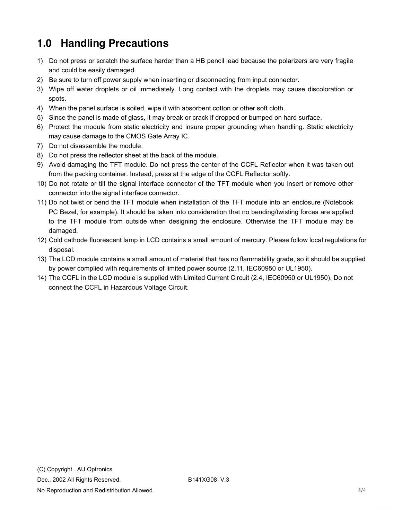# <span id="page-3-0"></span>**1.0 Handling Precautions**

- 1) Do not press or scratch the surface harder than a HB pencil lead because the polarizers are very fragile and could be easily damaged.
- 2) Be sure to turn off power supply when inserting or disconnecting from input connector.
- 3) Wipe off water droplets or oil immediately. Long contact with the droplets may cause discoloration or spots.
- 4) When the panel surface is soiled, wipe it with absorbent cotton or other soft cloth.
- 5) Since the panel is made of glass, it may break or crack if dropped or bumped on hard surface.
- 6) Protect the module from static electricity and insure proper grounding when handling. Static electricity may cause damage to the CMOS Gate Array IC.
- 7) Do not disassemble the module.
- 8) Do not press the reflector sheet at the back of the module.
- 9) Avoid damaging the TFT module. Do not press the center of the CCFL Reflector when it was taken out from the packing container. Instead, press at the edge of the CCFL Reflector softly.
- 10) Do not rotate or tilt the signal interface connector of the TFT module when you insert or remove other connector into the signal interface connector.
- 11) Do not twist or bend the TFT module when installation of the TFT module into an enclosure (Notebook PC Bezel, for example). It should be taken into consideration that no bending/twisting forces are applied to the TFT module from outside when designing the enclosure. Otherwise the TFT module may be damaged.
- 12) Cold cathode fluorescent lamp in LCD contains a small amount of mercury. Please follow local regulations for disposal.
- 13) The LCD module contains a small amount of material that has no flammability grade, so it should be supplied by power complied with requirements of limited power source (2.11, IEC60950 or UL1950).
- 14) The CCFL in the LCD module is supplied with Limited Current Circuit (2.4, IEC60950 or UL1950). Do not connect the CCFL in Hazardous Voltage Circuit.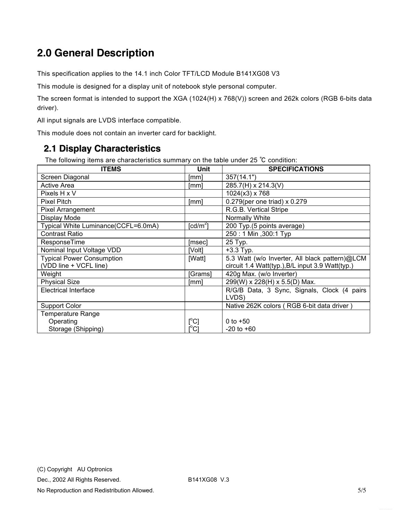# <span id="page-4-0"></span>**2.0 General Description**

This specification applies to the 14.1 inch Color TFT/LCD Module B141XG08 V3

This module is designed for a display unit of notebook style personal computer.

The screen format is intended to support the XGA (1024(H) x 768(V)) screen and 262k colors (RGB 6-bits data driver).

All input signals are LVDS interface compatible.

This module does not contain an inverter card for backlight.

#### **2.1 Display Characteristics**

The following items are characteristics summary on the table under 25 ℃ condition:

| <b>ITEMS</b>                        | Unit                                 | <b>SPECIFICATIONS</b>                            |
|-------------------------------------|--------------------------------------|--------------------------------------------------|
| Screen Diagonal                     | [mm]                                 | 357(14.1")                                       |
| <b>Active Area</b>                  | [mm]                                 | 285.7(H) x 214.3(V)                              |
| Pixels H x V                        |                                      | $1024(x3)$ x 768                                 |
| Pixel Pitch                         | [mm]                                 | $0.279$ (per one triad) x 0.279                  |
| <b>Pixel Arrangement</b>            |                                      | R.G.B. Vertical Stripe                           |
| Display Mode                        |                                      | Normally White                                   |
| Typical White Luminance(CCFL=6.0mA) | $\lceil cd/m^2 \rceil$               | 200 Typ.(5 points average)                       |
| <b>Contrast Ratio</b>               |                                      | 250: 1 Min , 300: 1 Typ                          |
| ResponseTime                        | [msec]                               | 25 Typ.                                          |
| Nominal Input Voltage VDD           | [Volt]                               | $+3.3$ Typ.                                      |
| <b>Typical Power Consumption</b>    | [Watt]                               | 5.3 Watt (w/o Inverter, All black pattern)@LCM   |
| (VDD line + VCFL line)              |                                      | circuit 1.4 Watt(typ.), B/L input 3.9 Watt(typ.) |
| Weight                              | [Grams]                              | 420g Max. (w/o Inverter)                         |
| <b>Physical Size</b>                | [mm]                                 | 299(W) x 228(H) x 5.5(D) Max.                    |
| <b>Electrical Interface</b>         |                                      | R/G/B Data, 3 Sync, Signals, Clock (4 pairs      |
|                                     |                                      | LVDS)                                            |
| <b>Support Color</b>                |                                      | Native 262K colors (RGB 6-bit data driver)       |
| <b>Temperature Range</b>            |                                      |                                                  |
| Operating                           | $[ ^{\circ}\text{C} ]$               | 0 to $+50$                                       |
| Storage (Shipping)                  | $\mathop{\rm l{^{\circ}C}}\nolimits$ | $-20$ to $+60$                                   |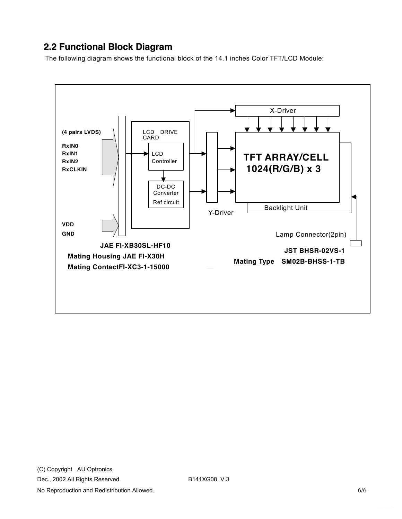### <span id="page-5-0"></span>**2.2 Functional Block Diagram**

The following diagram shows the functional block of the 14.1 inches Color TFT/LCD Module:

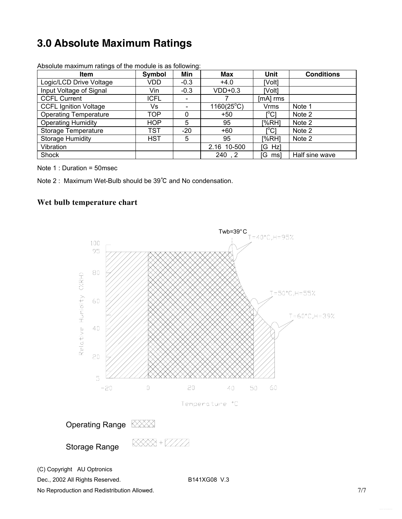# <span id="page-6-0"></span>**3.0 Absolute Maximum Ratings**

| <b>Item</b>                  | Symbol      | Min                      | Max                 | Unit                                    | <b>Conditions</b> |
|------------------------------|-------------|--------------------------|---------------------|-----------------------------------------|-------------------|
| Logic/LCD Drive Voltage      | VDD.        | $-0.3$                   | $+4.0$              | [Volt]                                  |                   |
| Input Voltage of Signal      | Vin         | $-0.3$                   | $VDD+0.3$           | [Volt]                                  |                   |
| <b>CCFL Current</b>          | <b>ICFL</b> |                          |                     | [mA] rms                                |                   |
| <b>CCFL Ignition Voltage</b> | Vs          | $\overline{\phantom{0}}$ | $1160(25^{\circ}C)$ | <b>Vrms</b>                             | Note 1            |
| <b>Operating Temperature</b> | TOP         | 0                        | $+50$               | $\mathsf{I}^\circ\mathsf{C}1$           | Note 2            |
| <b>Operating Humidity</b>    | <b>HOP</b>  | 5                        | 95                  | [%RH]                                   | Note 2            |
| Storage Temperature          | TST         | $-20$                    | $+60$               | $\mathsf{I}^\circ\mathsf{C} \mathsf{I}$ | Note 2            |
| <b>Storage Humidity</b>      | <b>HST</b>  | 5                        | 95                  | [%RH]                                   | Note 2            |
| Vibration                    |             |                          | 2.16 10-500         | [G Hz]                                  |                   |
| Shock                        |             |                          | 240, 2              | [G ms]                                  | Half sine wave    |

Absolute maximum ratings of the module is as following:

Note 1 : Duration = 50msec

Note 2 : Maximum Wet-Bulb should be 39℃ and No condensation.

#### **Wet bulb temperature chart**



No Reproduction and Redistribution Allowed. The state of the state of the state of the state of the state of the state of the state of the state of the state of the state of the state of the state of the state of the state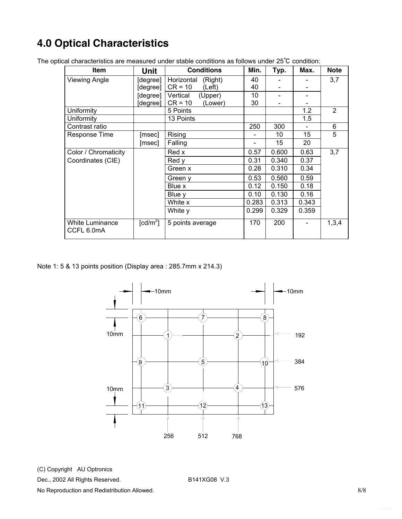# <span id="page-7-0"></span>**4.0 Optical Characteristics**

| <b>Item</b>                          | Unit                         | <b>Conditions</b>     | Min.  | Typ.  | Max.  | <b>Note</b> |
|--------------------------------------|------------------------------|-----------------------|-------|-------|-------|-------------|
| <b>Viewing Angle</b>                 | [degree]                     | Horizontal<br>(Right) | 40    |       |       | 3,7         |
|                                      | [degree]                     | $CR = 10$<br>(Left)   | 40    |       |       |             |
|                                      | [degree]                     | Vertical<br>(Upper)   | 10    |       |       |             |
|                                      | [degree]                     | $CR = 10$<br>(Lower)  | 30    |       |       |             |
| Uniformity                           |                              | 5 Points              |       |       | 1.2   | 2           |
| Uniformity                           |                              | 13 Points             |       |       | 1.5   |             |
| Contrast ratio                       |                              |                       | 250   | 300   |       | 6           |
| Response Time                        | [msec]                       | Rising                |       | 10    | 15    | 5           |
|                                      | [msec]                       | Falling               |       | 15    | 20    |             |
| Color / Chromaticity                 |                              | Red x                 | 0.57  | 0.600 | 0.63  | 3,7         |
| Coordinates (CIE)                    |                              | Red y                 | 0.31  | 0.340 | 0.37  |             |
|                                      |                              | Green x               | 0.28  | 0.310 | 0.34  |             |
|                                      |                              | Green y               | 0.53  | 0.560 | 0.59  |             |
|                                      |                              | Blue x                | 0.12  | 0.150 | 0.18  |             |
|                                      |                              | Blue y                | 0.10  | 0.130 | 0.16  |             |
|                                      |                              | White x               | 0.283 | 0.313 | 0.343 |             |
|                                      |                              | White y               | 0.299 | 0.329 | 0.359 |             |
| <b>White Luminance</b><br>CCFL 6.0mA | $\textsf{[cd/m}^2\textsf{]}$ | 5 points average      | 170   | 200   |       | 1,3,4       |

The optical characteristics are measured under stable conditions as follows under 25℃ condition:

Note 1: 5 & 13 points position (Display area : 285.7mm x 214.3)



(C) Copyright AU Optronics

Dec., 2002 All Rights Reserved. B141XG08 V.3

No Reproduction and Redistribution Allowed. **8/8** and  $\frac{8}{8}$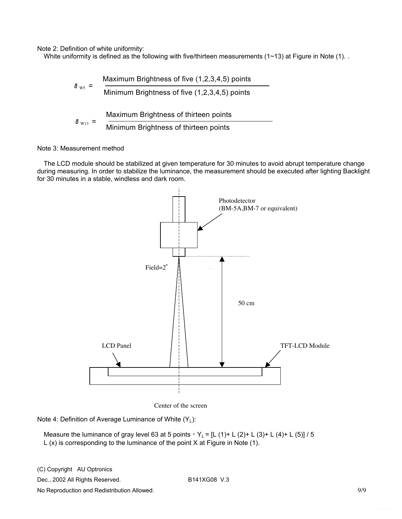Note 2: Definition of white uniformity:

White uniformity is defined as the following with five/thirteen measurements (1~13) at Figure in Note (1).

$$
\delta_{\text{ws}} = \frac{\text{Maximum brightness of five } (1,2,3,4,5) \text{ points}}{\text{Minimum brightness of five } (1,2,3,4,5) \text{ points}}
$$
\n
$$
\delta_{\text{ws}} = \frac{\text{Maximum brightness of thirteen points}}{\text{Minimum brightness of thirteen points}}
$$

#### Note 3: Measurement method

The LCD module should be stabilized at given temperature for 30 minutes to avoid abrupt temperature change during measuring. In order to stabilize the luminance, the measurement should be executed after lighting Backlight for 30 minutes in a stable, windless and dark room.



Center of the screen

Note 4: Definition of Average Luminance of White (Y<sub>L</sub>):

Measure the luminance of gray level 63 at 5 points,  $Y_L = [L (1) + L (2) + L (3) + L (4) + L (5)]$  / 5 L (x) is corresponding to the luminance of the point X at Figure in Note (1).

(C) Copyright AU Optronics

Dec., 2002 All Rights Reserved. B141XG08 V.3

No Reproduction and Redistribution Allowed. 63. Allowed and 2009 and 2009 and 2009 and 2009 and 2009 and 2009  $9/9$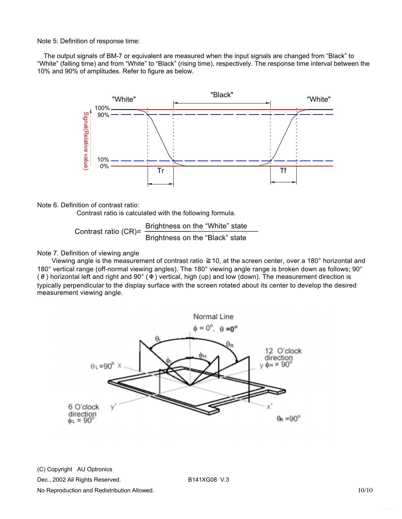Note 5: Definition of response time:

The output signals of BM-7 or equivalent are measured when the input signals are changed from "Black" to "White" (falling time) and from "White" to "Black" (rising time), respectively. The response time interval between the 10% and 90% of amplitudes. Refer to figure as below.



#### Note 6. Definition of contrast ratio:

Contrast ratio is calculated with the following formula.

Brightness on the "White" state Contrast ratio (CR)=  $\frac{Brighnless on the VIME state}{Brighness on the "Black" state}$ 

#### Note 7. Definition of viewing angle

 Viewing angle is the measurement of contrast ratio ≧10, at the screen center, over a 180° horizontal and 180° vertical range (off-normal viewing angles). The 180° viewing angle range is broken down as follows; 90° ( $\theta$ ) horizontal left and right and 90 $^{\circ}$  ( $\Phi$ ) vertical, high (up) and low (down). The measurement direction is typically perpendicular to the display surface with the screen rotated about its center to develop the desired measurement viewing angle.



(C) Copyright AU Optronics

Dec., 2002 All Rights Reserved. B141XG08 V.3

No Reproduction and Redistribution Allowed. 10/10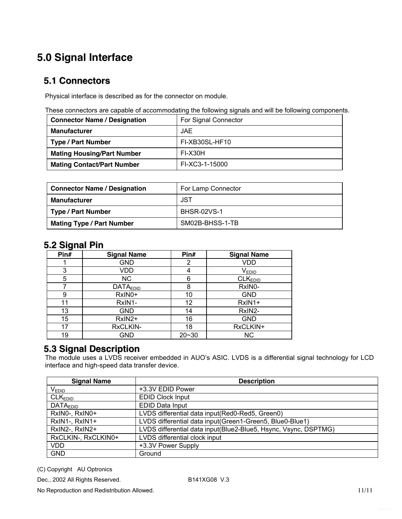# <span id="page-10-0"></span>**5.0 Signal Interface**

#### **5.1 Connectors**

Physical interface is described as for the connector on module.

These connectors are capable of accommodating the following signals and will be following components.

| <b>Connector Name / Designation</b> | For Signal Connector |
|-------------------------------------|----------------------|
| <b>Manufacturer</b>                 | <b>JAE</b>           |
| <b>Type / Part Number</b>           | FI-XB30SL-HF10       |
| <b>Mating Housing/Part Number</b>   | FI-X30H              |
| <b>Mating Contact/Part Number</b>   | FI-XC3-1-15000       |

| <b>Connector Name / Designation</b> | For Lamp Connector |
|-------------------------------------|--------------------|
| <b>Manufacturer</b>                 | JST                |
| Type / Part Number                  | <b>BHSR-02VS-1</b> |
| <b>Mating Type / Part Number</b>    | SM02B-BHSS-1-TB    |

#### **5.2 Signal Pin**

| --<br>Pin# | <b>Signal Name</b> | Pin#      | <b>Signal Name</b>  |
|------------|--------------------|-----------|---------------------|
|            | GND                | 2         | <b>VDD</b>          |
| 3          | VDD                |           | <b>VEDID</b>        |
| 5          | NC.                | 6         | CLK <sub>EDID</sub> |
|            | <b>DATAEDID</b>    | 8         | RxIN0-              |
| 9          | RxIN0+             | 10        | <b>GND</b>          |
| 11         | RxIN1-             | 12        | RxIN1+              |
| 13         | <b>GND</b>         | 14        | RxIN2-              |
| 15         | RxIN2+             | 16        | <b>GND</b>          |
| 17         | RxCLKIN-           | 18        | RxCLKIN+            |
| 19         | GND                | $20 - 30$ | <b>NC</b>           |

### **5.3 Signal Description**

The module uses a LVDS receiver embedded in AUO's ASIC. LVDS is a differential signal technology for LCD interface and high-speed data transfer device.

| <b>Signal Name</b>         | <b>Description</b>                                              |
|----------------------------|-----------------------------------------------------------------|
| V <sub>EDID</sub>          | +3.3V EDID Power                                                |
| CLK <sub>EDID</sub>        | <b>EDID Clock Input</b>                                         |
| <b>DATA<sub>EDID</sub></b> | <b>EDID Data Input</b>                                          |
| RxIN0-, RxIN0+             | LVDS differential data input(Red0-Red5, Green0)                 |
| RxIN1-, RxIN1+             | LVDS differential data input(Green1-Green5, Blue0-Blue1)        |
| RxIN2-, RxIN2+             | LVDS differential data input(Blue2-Blue5, Hsync, Vsync, DSPTMG) |
| RxCLKIN-, RxCLKIN0+        | LVDS differential clock input                                   |
| <b>VDD</b>                 | +3.3V Power Supply                                              |
| <b>GND</b>                 | Ground                                                          |

(C) Copyright AU Optronics

Dec., 2002 All Rights Reserved. B141XG08 V.3

No Reproduction and Redistribution Allowed. 11/11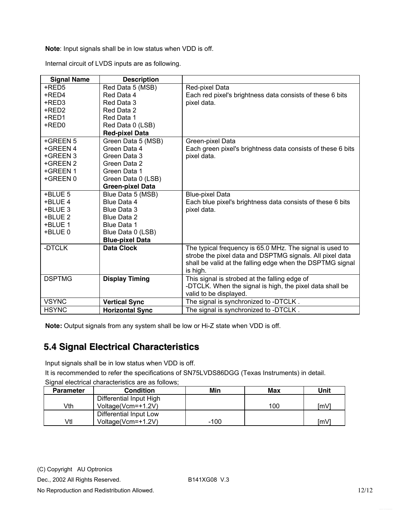<span id="page-11-0"></span>**Note**: Input signals shall be in low status when VDD is off.

Internal circuit of LVDS inputs are as following.

| <b>Signal Name</b> | <b>Description</b>      |                                                             |
|--------------------|-------------------------|-------------------------------------------------------------|
| +RED5              | Red Data 5 (MSB)        | Red-pixel Data                                              |
| +RED4              | Red Data 4              | Each red pixel's brightness data consists of these 6 bits   |
| +RED3              | Red Data 3              | pixel data.                                                 |
| +RED2              | Red Data 2              |                                                             |
| +RED1              | Red Data 1              |                                                             |
| +RED0              | Red Data 0 (LSB)        |                                                             |
|                    | <b>Red-pixel Data</b>   |                                                             |
| +GREEN 5           | Green Data 5 (MSB)      | Green-pixel Data                                            |
| +GREEN 4           | Green Data 4            | Each green pixel's brightness data consists of these 6 bits |
| +GREEN 3           | Green Data 3            | pixel data.                                                 |
| +GREEN 2           | Green Data 2            |                                                             |
| +GREEN 1           | Green Data 1            |                                                             |
| +GREEN 0           | Green Data 0 (LSB)      |                                                             |
|                    | <b>Green-pixel Data</b> |                                                             |
| +BLUE 5            | Blue Data 5 (MSB)       | <b>Blue-pixel Data</b>                                      |
| +BLUE 4            | Blue Data 4             | Each blue pixel's brightness data consists of these 6 bits  |
| +BLUE 3            | Blue Data 3             | pixel data.                                                 |
| +BLUE 2            | Blue Data 2             |                                                             |
| +BLUE 1            | Blue Data 1             |                                                             |
| +BLUE 0            | Blue Data 0 (LSB)       |                                                             |
|                    | <b>Blue-pixel Data</b>  |                                                             |
| -DTCLK             | <b>Data Clock</b>       | The typical frequency is 65.0 MHz. The signal is used to    |
|                    |                         | strobe the pixel data and DSPTMG signals. All pixel data    |
|                    |                         | shall be valid at the falling edge when the DSPTMG signal   |
|                    |                         | is high.                                                    |
| <b>DSPTMG</b>      | <b>Display Timing</b>   | This signal is strobed at the falling edge of               |
|                    |                         | -DTCLK. When the signal is high, the pixel data shall be    |
|                    |                         | valid to be displayed.                                      |
| <b>VSYNC</b>       | <b>Vertical Sync</b>    | The signal is synchronized to -DTCLK.                       |
| <b>HSYNC</b>       | <b>Horizontal Sync</b>  | The signal is synchronized to -DTCLK.                       |

**Note:** Output signals from any system shall be low or Hi-Z state when VDD is off.

### **5.4 Signal Electrical Characteristics**

Input signals shall be in low status when VDD is off.

It is recommended to refer the specifications of SN75LVDS86DGG (Texas Instruments) in detail.

|  | Signal electrical characteristics are as follows; |  |
|--|---------------------------------------------------|--|
|  |                                                   |  |
|  |                                                   |  |

| <b>Parameter</b> | <b>Condition</b>        | Min    | Max | Unit |
|------------------|-------------------------|--------|-----|------|
|                  | Differential Input High |        |     |      |
| √th              | Voltage(Vcm=+1.2V)      |        | 100 | [mV] |
|                  | Differential Input Low  |        |     |      |
| Vtl              | Voltage(Vcm=+1.2V)      | $-100$ |     | ImV1 |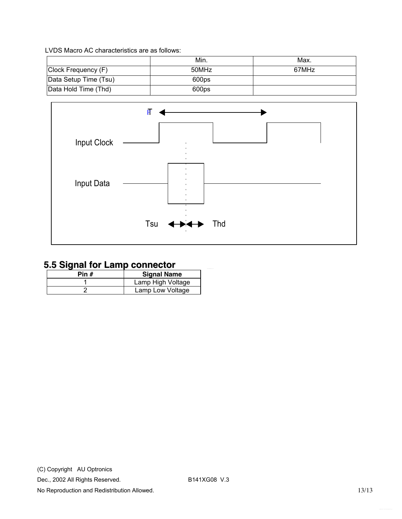<span id="page-12-0"></span>LVDS Macro AC characteristics are as follows:

|                       | Min.  | Max.  |
|-----------------------|-------|-------|
| Clock Frequency (F)   | 50MHz | 67MHz |
| Data Setup Time (Tsu) | 600ps |       |
| Data Hold Time (Thd)  | 600ps |       |



## **5.5 Signal for Lamp connector**

| Pin # | <b>Signal Name</b> |
|-------|--------------------|
|       | Lamp High Voltage  |
|       | Lamp Low Voltage   |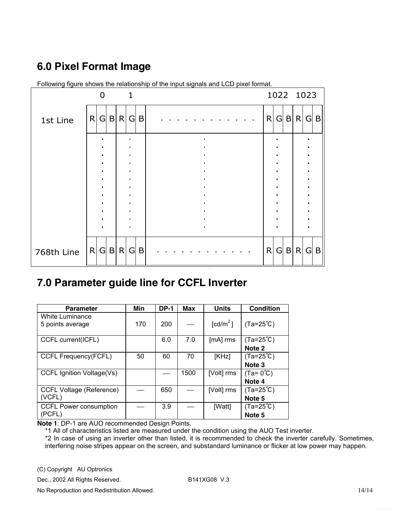## <span id="page-13-0"></span>**6.0 Pixel Format Image**

|            |   | O   |     | $\mathbf{1}$ |            |   |   |     | 1022 1023  |  |
|------------|---|-----|-----|--------------|------------|---|---|-----|------------|--|
| 1st Line   | R | G   | B R | G            | B          | R | G | B R | $G \mid B$ |  |
|            |   |     |     |              |            |   |   |     |            |  |
|            |   |     |     |              |            |   |   |     |            |  |
|            |   |     |     | ٠            |            |   |   |     |            |  |
|            |   |     |     |              |            |   |   |     | $\bullet$  |  |
|            |   |     |     |              |            |   |   |     |            |  |
| 768th Line |   | R G | B R |              | $G \mid B$ | R |   |     | G B R G B  |  |

Following figure shows the relationship of the input signals and LCD pixel format.

## **7.0 Parameter guide line for CCFL Inverter**

| <b>Parameter</b>                | Min | <b>DP-1</b> | Max  | <b>Units</b>         | <b>Condition</b>   |
|---------------------------------|-----|-------------|------|----------------------|--------------------|
| White Luminance                 |     |             |      |                      |                    |
| 5 points average                | 170 | 200         |      | [cd/m <sup>2</sup> ] | $(Ta=25^{\circ}C)$ |
|                                 |     |             |      |                      |                    |
| CCFL current(ICFL)              |     | 6.0         | 7.0  | $[mA]$ rms           | $(Ta=25^{\circ}C)$ |
|                                 |     |             |      |                      | Note <sub>2</sub>  |
| <b>CCFL Frequency(FCFL)</b>     | 50  | 60          | 70   | [KHz]                | $(Ta=25^{\circ}C)$ |
|                                 |     |             |      |                      | Note <sub>3</sub>  |
| CCFL Ignition Voltage(Vs)       |     |             | 1500 | [Volt] rms           | $(Ta=0^{\circ}C)$  |
|                                 |     |             |      |                      | Note 4             |
| <b>CCFL Voltage (Reference)</b> |     | 650         |      | [Volt] rms           | $(Ta=25^{\circ}C)$ |
| (VCFL)                          |     |             |      |                      | Note <sub>5</sub>  |
| <b>CCFL Power consumption</b>   |     | 3.9         |      | [Watt]               | $(Ta=25^{\circ}C)$ |
| (PCFL)                          |     |             |      |                      | Note <sub>5</sub>  |

**Note 1**: DP-1 are AUO recommended Design Points.

\*1 All of characteristics listed are measured under the condition using the AUO Test inverter.

\*2 In case of using an inverter other than listed, it is recommended to check the inverter carefully. Sometimes, interfering noise stripes appear on the screen, and substandard luminance or flicker at low power may happen.

(C) Copyright AU Optronics

Dec., 2002 All Rights Reserved. B141XG08 V.3

No Reproduction and Redistribution Allowed. 14/14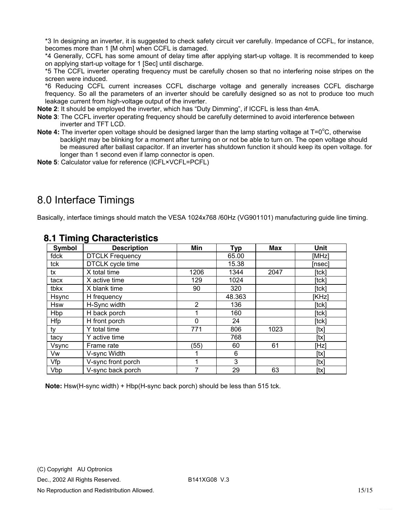<span id="page-14-0"></span>\*3 In designing an inverter, it is suggested to check safety circuit ver carefully. Impedance of CCFL, for instance, becomes more than 1 [M ohm] when CCFL is damaged.

\*4 Generally, CCFL has some amount of delay time after applying start-up voltage. It is recommended to keep on applying start-up voltage for 1 [Sec] until discharge.

\*5 The CCFL inverter operating frequency must be carefully chosen so that no interfering noise stripes on the screen were induced.

\*6 Reducing CCFL current increases CCFL discharge voltage and generally increases CCFL discharge frequency. So all the parameters of an inverter should be carefully designed so as not to produce too much leakage current from high-voltage output of the inverter.

**Note 2**: It should be employed the inverter, which has "Duty Dimming", if ICCFL is less than 4mA.

- **Note 3**: The CCFL inverter operating frequency should be carefully determined to avoid interference between inverter and TFT LCD.
- Note 4: The inverter open voltage should be designed larger than the lamp starting voltage at T=0<sup>o</sup>C, otherwise backlight may be blinking for a moment after turning on or not be able to turn on. The open voltage should be measured after ballast capacitor. If an inverter has shutdown function it should keep its open voltage. for longer than 1 second even if lamp connector is open.
- **Note 5**: Calculator value for reference (ICFL×VCFL=PCFL)

## 8.0 Interface Timings

Basically, interface timings should match the VESA 1024x768 /60Hz (VG901101) manufacturing guide line timing.

| Symbol     | <b>Description</b>     | Min            | <b>Typ</b> | Max  | Unit   |
|------------|------------------------|----------------|------------|------|--------|
| fdck       | <b>DTCLK Frequency</b> |                | 65.00      |      | [MHz]  |
| tck        | DTCLK cycle time       |                | 15.38      |      | [nsec] |
| tx         | X total time           | 1206           | 1344       | 2047 | [tck]  |
| tacx       | X active time          | 129            | 1024       |      | [tck]  |
| tbkx       | X blank time           | 90             | 320        |      | [tck]  |
| Hsync      | H frequency            |                | 48.363     |      | [KHz]  |
| <b>Hsw</b> | H-Sync width           | $\overline{2}$ | 136        |      | [tck]  |
| Hbp        | H back porch           | 1              | 160        |      | [tck]  |
| <b>Hfp</b> | H front porch          | 0              | 24         |      | [tck]  |
| ty         | Y total time           | 771            | 806        | 1023 | [tx]   |
| tacy       | Y active time          |                | 768        |      | [tx]   |
| Vsync      | Frame rate             | (55)           | 60         | 61   | [Hz]   |
| Vw         | V-sync Width           |                | 6          |      | [tx]   |
| Vfp        | V-sync front porch     |                | 3          |      | [tx]   |
| Vbp        | V-sync back porch      | 7              | 29         | 63   | [tx]   |

#### **8.1 Timing Characteristics**

**Note:** Hsw(H-sync width) + Hbp(H-sync back porch) should be less than 515 tck.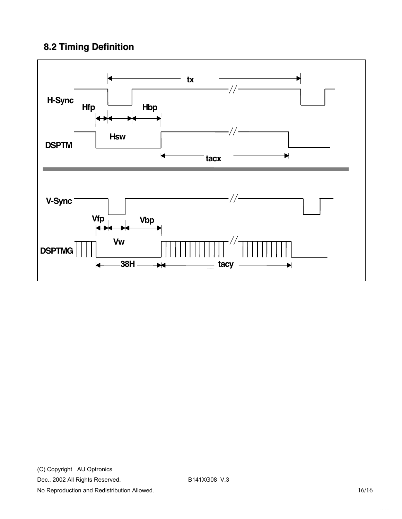## <span id="page-15-0"></span>**8.2 Timing Definition**

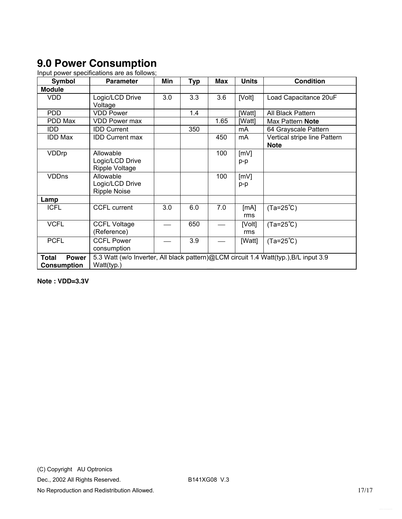## <span id="page-16-0"></span>**9.0 Power Consumption**

Input power specifications are as follows;

| <b>Symbol</b>         | <b>Parameter</b>                                                                     | Min | <b>Typ</b> | <b>Max</b> | <b>Units</b> | <b>Condition</b>             |  |  |
|-----------------------|--------------------------------------------------------------------------------------|-----|------------|------------|--------------|------------------------------|--|--|
| <b>Module</b>         |                                                                                      |     |            |            |              |                              |  |  |
| <b>VDD</b>            | Logic/LCD Drive                                                                      | 3.0 | 3.3        | 3.6        | [Volt]       | Load Capacitance 20uF        |  |  |
|                       | Voltage                                                                              |     |            |            |              |                              |  |  |
| <b>PDD</b>            | <b>VDD Power</b>                                                                     |     | 1.4        |            | [Watt]       | All Black Pattern            |  |  |
| PDD Max               | <b>VDD Power max</b>                                                                 |     |            | 1.65       | [Watt]       | Max Pattern Note             |  |  |
| IDD.                  | <b>IDD Current</b>                                                                   |     | 350        |            | mA           | 64 Grayscale Pattern         |  |  |
| <b>IDD Max</b>        | <b>IDD Current max</b>                                                               |     |            | 450        | mA           | Vertical stripe line Pattern |  |  |
|                       |                                                                                      |     |            |            |              | <b>Note</b>                  |  |  |
| VDDrp                 | Allowable                                                                            |     |            | 100        | [mV]         |                              |  |  |
|                       | Logic/LCD Drive                                                                      |     |            |            | p-p          |                              |  |  |
|                       | Ripple Voltage                                                                       |     |            |            |              |                              |  |  |
| <b>VDDns</b>          | Allowable                                                                            |     |            | 100        | [mV]         |                              |  |  |
|                       | Logic/LCD Drive                                                                      |     |            |            | p-p          |                              |  |  |
|                       | <b>Ripple Noise</b>                                                                  |     |            |            |              |                              |  |  |
| Lamp                  |                                                                                      |     |            |            |              |                              |  |  |
| <b>ICFL</b>           | <b>CCFL current</b>                                                                  | 3.0 | 6.0        | 7.0        | [mA]         | $(Ta=25^{\circ}C)$           |  |  |
|                       |                                                                                      |     |            |            | rms          |                              |  |  |
| <b>VCFL</b>           | <b>CCFL Voltage</b>                                                                  |     | 650        |            | [Volt]       | $(Ta=25^{\circ}C)$           |  |  |
|                       | (Reference)                                                                          |     |            |            | rms          |                              |  |  |
| <b>PCFL</b>           | <b>CCFL Power</b>                                                                    |     | 3.9        |            | [Watt]       | $(Ta=25^{\circ}C)$           |  |  |
|                       | consumption                                                                          |     |            |            |              |                              |  |  |
| <b>Power</b><br>Total | 5.3 Watt (w/o Inverter, All black pattern)@LCM circuit 1.4 Watt(typ.), B/L input 3.9 |     |            |            |              |                              |  |  |
| Consumption           | Watt(typ.)                                                                           |     |            |            |              |                              |  |  |

**Note : VDD=3.3V**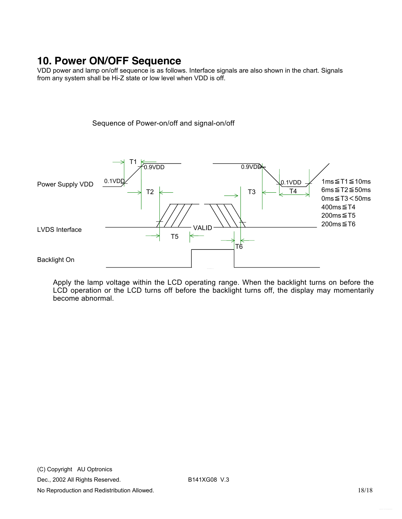## <span id="page-17-0"></span>**10. Power ON/OFF Sequence**

VDD power and lamp on/off sequence is as follows. Interface signals are also shown in the chart. Signals from any system shall be Hi-Z state or low level when VDD is off.

Sequence of Power-on/off and signal-on/off

T1 0.9VDD  $0.9V<sub>D</sub>$ 1ms≦T1≦10ms  $0.1VD$ 0.1VDD Power Supply VDD 6ms≦T2≦50ms  $T2 \leftarrow$  T3  $\leftarrow$  T4 0ms≦T3<50ms 400ms≦T4 200ms≦T5 200ms≦T6 VALID LVDS Interface T5 ⇐ T6 Backlight On

Apply the lamp voltage within the LCD operating range. When the backlight turns on before the LCD operation or the LCD turns off before the backlight turns off, the display may momentarily become abnormal.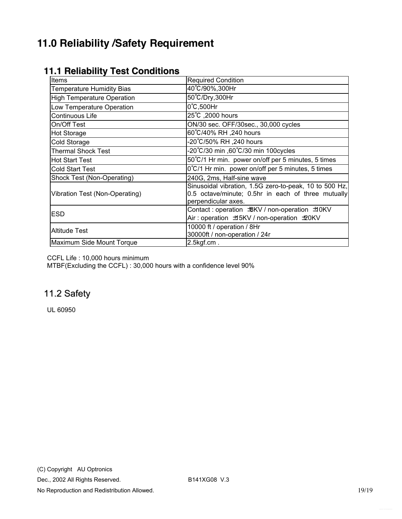## <span id="page-18-0"></span>**11.0 Reliability /Safety Requirement**

| <b>Items</b>                                                                        | <b>Required Condition</b>                                                                                                           |  |  |  |  |
|-------------------------------------------------------------------------------------|-------------------------------------------------------------------------------------------------------------------------------------|--|--|--|--|
| <b>Temperature Humidity Bias</b>                                                    | 40°C/90%,300Hr                                                                                                                      |  |  |  |  |
| <b>High Temperature Operation</b>                                                   | 50°C/Dry,300Hr                                                                                                                      |  |  |  |  |
| Low Temperature Operation                                                           | $0^{\circ}$ C,500Hr                                                                                                                 |  |  |  |  |
| Continuous Life                                                                     | 25°C, 2000 hours                                                                                                                    |  |  |  |  |
| On/Off Test                                                                         | ON/30 sec. OFF/30sec., 30,000 cycles                                                                                                |  |  |  |  |
| <b>Hot Storage</b>                                                                  | 60°C/40% RH ,240 hours                                                                                                              |  |  |  |  |
| Cold Storage                                                                        | 240 hours, 240°C/50% RH-                                                                                                            |  |  |  |  |
| <b>Thermal Shock Test</b>                                                           | -20°C/30 min ,60°C/30 min 100cycles                                                                                                 |  |  |  |  |
| <b>Hot Start Test</b>                                                               | 50°C/1 Hr min. power on/off per 5 minutes, 5 times                                                                                  |  |  |  |  |
| <b>Cold Start Test</b>                                                              | 0°C/1 Hr min. power on/off per 5 minutes, 5 times                                                                                   |  |  |  |  |
| Shock Test (Non-Operating)                                                          | 240G, 2ms, Half-sine wave                                                                                                           |  |  |  |  |
| Vibration Test (Non-Operating)                                                      | Sinusoidal vibration, 1.5G zero-to-peak, 10 to 500 Hz,<br>0.5 octave/minute; 0.5hr in each of three mutually<br>perpendicular axes. |  |  |  |  |
| <b>ESD</b><br>Air: operation ±5KV / non-operation ±20KV                             |                                                                                                                                     |  |  |  |  |
| 10000 ft / operation / 8Hr<br><b>Altitude Test</b><br>30000ft / non-operation / 24r |                                                                                                                                     |  |  |  |  |
| Maximum Side Mount Torque                                                           | $2.5$ kgf.cm.                                                                                                                       |  |  |  |  |

#### **11.1 Reliability Test Conditions**

CCFL Life : 10,000 hours minimum

 $MTBF(Excluding the CCFL): 30,000 hours with a confidence level 90%$ 

## 11.2 Safety

UL 60950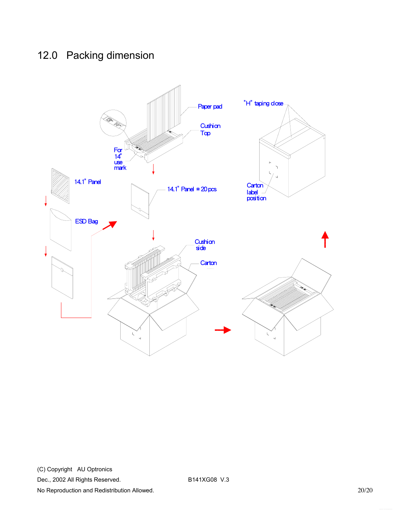## <span id="page-19-0"></span>12.0 Packing dimension

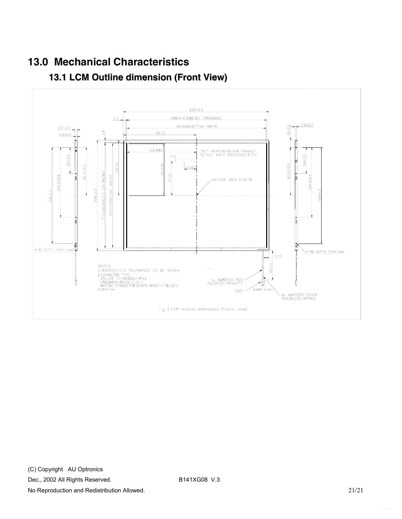# <span id="page-20-0"></span>**13.0 Mechanical Characteristics**



## **13.1 LCM Outline dimension (Front View)**